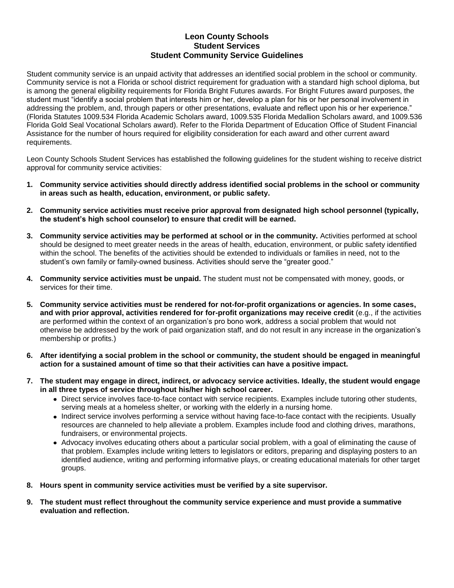## **Leon County Schools Student Services Student Community Service Guidelines**

Student community service is an unpaid activity that addresses an identified social problem in the school or community. Community service is not a Florida or school district requirement for graduation with a standard high school diploma, but is among the general eligibility requirements for Florida Bright Futures awards. For Bright Futures award purposes, the student must "identify a social problem that interests him or her, develop a plan for his or her personal involvement in addressing the problem, and, through papers or other presentations, evaluate and reflect upon his or her experience." (Florida Statutes 1009.534 Florida Academic Scholars award, 1009.535 Florida Medallion Scholars award, and 1009.536 Florida Gold Seal Vocational Scholars award). Refer to the Florida Department of Education Office of Student Financial Assistance for the number of hours required for eligibility consideration for each award and other current award requirements.

Leon County Schools Student Services has established the following guidelines for the student wishing to receive district approval for community service activities:

- **1. Community service activities should directly address identified social problems in the school or community in areas such as health, education, environment, or public safety.**
- **2. Community service activities must receive prior approval from designated high school personnel (typically, the student's high school counselor) to ensure that credit will be earned.**
- **3. Community service activities may be performed at school or in the community.** Activities performed at school should be designed to meet greater needs in the areas of health, education, environment, or public safety identified within the school. The benefits of the activities should be extended to individuals or families in need, not to the student's own family or family-owned business. Activities should serve the "greater good."
- **4. Community service activities must be unpaid.** The student must not be compensated with money, goods, or services for their time.
- **5. Community service activities must be rendered for not-for-profit organizations or agencies. In some cases, and with prior approval, activities rendered for for-profit organizations may receive credit** (e.g., if the activities are performed within the context of an organization's pro bono work, address a social problem that would not otherwise be addressed by the work of paid organization staff, and do not result in any increase in the organization's membership or profits.)
- **6. After identifying a social problem in the school or community, the student should be engaged in meaningful action for a sustained amount of time so that their activities can have a positive impact.**
- **7. The student may engage in direct, indirect, or advocacy service activities. Ideally, the student would engage in all three types of service throughout his/her high school career.** 
	- Direct service involves face-to-face contact with service recipients. Examples include tutoring other students, serving meals at a homeless shelter, or working with the elderly in a nursing home.
	- Indirect service involves performing a service without having face-to-face contact with the recipients. Usually resources are channeled to help alleviate a problem. Examples include food and clothing drives, marathons, fundraisers, or environmental projects.
	- Advocacy involves educating others about a particular social problem, with a goal of eliminating the cause of that problem. Examples include writing letters to legislators or editors, preparing and displaying posters to an identified audience, writing and performing informative plays, or creating educational materials for other target groups.
- **8. Hours spent in community service activities must be verified by a site supervisor.**
- **9. The student must reflect throughout the community service experience and must provide a summative evaluation and reflection.**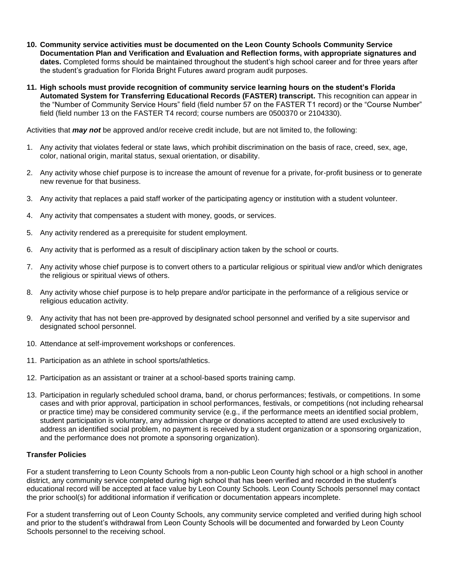- **10. Community service activities must be documented on the Leon County Schools Community Service Documentation Plan and Verification and Evaluation and Reflection forms, with appropriate signatures and dates.** Completed forms should be maintained throughout the student's high school career and for three years after the student's graduation for Florida Bright Futures award program audit purposes.
- **11. High schools must provide recognition of community service learning hours on the student's Florida Automated System for Transferring Educational Records (FASTER) transcript.** This recognition can appear in the "Number of Community Service Hours" field (field number 57 on the FASTER T1 record) or the "Course Number" field (field number 13 on the FASTER T4 record; course numbers are 0500370 or 2104330).

Activities that *may not* be approved and/or receive credit include, but are not limited to, the following:

- 1. Any activity that violates federal or state laws, which prohibit discrimination on the basis of race, creed, sex, age, color, national origin, marital status, sexual orientation, or disability.
- 2. Any activity whose chief purpose is to increase the amount of revenue for a private, for-profit business or to generate new revenue for that business.
- 3. Any activity that replaces a paid staff worker of the participating agency or institution with a student volunteer.
- 4. Any activity that compensates a student with money, goods, or services.
- 5. Any activity rendered as a prerequisite for student employment.
- 6. Any activity that is performed as a result of disciplinary action taken by the school or courts.
- 7. Any activity whose chief purpose is to convert others to a particular religious or spiritual view and/or which denigrates the religious or spiritual views of others.
- 8. Any activity whose chief purpose is to help prepare and/or participate in the performance of a religious service or religious education activity.
- 9. Any activity that has not been pre-approved by designated school personnel and verified by a site supervisor and designated school personnel.
- 10. Attendance at self-improvement workshops or conferences.
- 11. Participation as an athlete in school sports/athletics.
- 12. Participation as an assistant or trainer at a school-based sports training camp.
- 13. Participation in regularly scheduled school drama, band, or chorus performances; festivals, or competitions. In some cases and with prior approval, participation in school performances, festivals, or competitions (not including rehearsal or practice time) may be considered community service (e.g., if the performance meets an identified social problem, student participation is voluntary, any admission charge or donations accepted to attend are used exclusively to address an identified social problem, no payment is received by a student organization or a sponsoring organization, and the performance does not promote a sponsoring organization).

## **Transfer Policies**

For a student transferring to Leon County Schools from a non-public Leon County high school or a high school in another district, any community service completed during high school that has been verified and recorded in the student's educational record will be accepted at face value by Leon County Schools. Leon County Schools personnel may contact the prior school(s) for additional information if verification or documentation appears incomplete.

For a student transferring out of Leon County Schools, any community service completed and verified during high school and prior to the student's withdrawal from Leon County Schools will be documented and forwarded by Leon County Schools personnel to the receiving school.